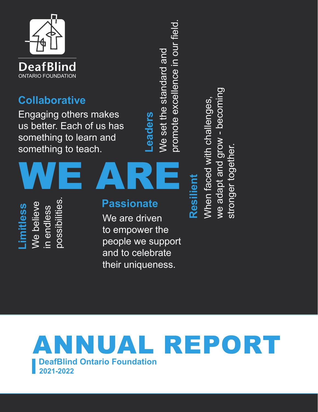

### **Collaborative**

Engaging others makes us better. Each of us has something to learn and something to teach.

We set the standard and We set the standard and **Leaders Leaders** 

promote excellence in our field.

promote excellence in our field.

possibilities. We believe possibilities We believe **Limitless**  imitless in endless in endless

### **Passionate**

We are driven to empower the people we support and to celebrate their uniqueness.

# WE ARE **Resilient**

we adapt and grow - becoming When faced with challenges, When faced with challenges, we adapt and grow - becomi stronger together. stronger together

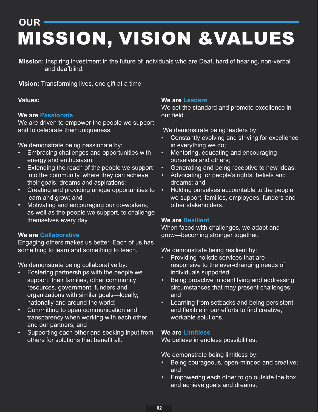## <span id="page-1-0"></span>**OUR**  MISSION, VISION &VALUES

**Mission:** Inspiring investment in the future of individuals who are Deaf, hard of hearing, non-verbal and deafblind.

**Vision:** Transforming lives, one gift at a time.

#### **Values:**

#### **We are Passionate**

We are driven to empower the people we support and to celebrate their uniqueness.

We demonstrate being passionate by:

- Embracing challenges and opportunities with energy and enthusiasm;
- Extending the reach of the people we support into the community, where they can achieve their goals, dreams and aspirations;
- Creating and providing unique opportunities to learn and grow; and
- Motivating and encouraging our co-workers, as well as the people we support, to challenge themselves every day.

#### **We are Collaborative**

Engaging others makes us better. Each of us has something to learn and something to teach.

We demonstrate being collaborative by:

- Fostering partnerships with the people we support, their families, other community resources, government, funders and organizations with similar goals—locally, nationally and around the world;
- Committing to open communication and transparency when working with each other and our partners; and
- Supporting each other and seeking input from others for solutions that benefit all.

#### **We are Leaders**

We set the standard and promote excellence in our field.

We demonstrate being leaders by:

- Constantly evolving and striving for excellence in everything we do;
- Mentoring, educating and encouraging ourselves and others;
- Generating and being receptive to new ideas;
- Advocating for people's rights, beliefs and dreams; and
- Holding ourselves accountable to the people we support, families, employees, funders and other stakeholders.

#### **We are Resilient**

When faced with challenges, we adapt and grow—becoming stronger together.

We demonstrate being resilient by:

- Providing holistic services that are responsive to the ever-changing needs of individuals supported;
- Being proactive in identifying and addressing circumstances that may present challenges; and
- Learning from setbacks and being persistent and flexible in our efforts to find creative, workable solutions.

#### **We are Limitless**

We believe in endless possibilities.

We demonstrate being limitless by:

- Being courageous, open-minded and creative; and
- Empowering each other to go outside the box and achieve goals and dreams.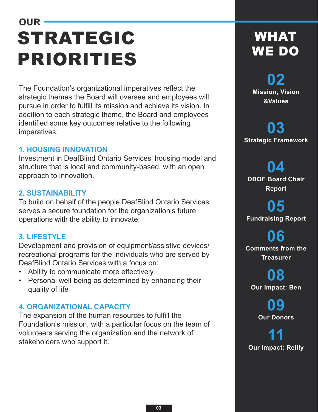## <span id="page-2-0"></span>**OUR**  STRATEGIC PRIORITIES

The Foundation's organizational imperatives reflect the strategic themes the Board will oversee and employees will pursue in order to fulfill its mission and achieve its vision. In addition to each strategic theme, the Board and employees identified some key outcomes relative to the following imperatives:

#### **1. HOUSING INNOVATION**

Investment in DeafBlind Ontario Services' housing model and structure that is local and community-based, with an open approach to innovation.

#### **2. SUSTAINABILITY**

To build on behalf of the people DeafBlind Ontario Services serves a secure foundation for the organization's future operations with the ability to innovate.

#### **3. LIFESTYLE**

Development and provision of equipment/assistive devices/ recreational programs for the individuals who are served by DeafBlind Ontario Services with a focus on:

- Ability to communicate more effectively
- Personal well-being as determined by enhancing their quality of life

#### **4. ORGANIZATIONAL CAPACITY**

The expansion of the human resources to fulfill the Foundation's mission, with a particular focus on the team of volunteers serving the organization and the network of stakeholders who support it.

## WHAT WE DO

**02 [Mission, Vision](#page-1-0)  &Values** 

**03 [Strategic Framework](#page-2-0)** 

**04 [DBOF Board Chair](#page-3-0) Report** 

**05 [Fundraising Report](#page-4-0)** 

**06 [Comments from the](#page-5-0) Treasurer** 

**08 [Our Impact: Ben](#page-7-0)** 

> **[09](#page-8-0) Our Donors**

**11 [Our Impact: Reilly](#page-10-0)**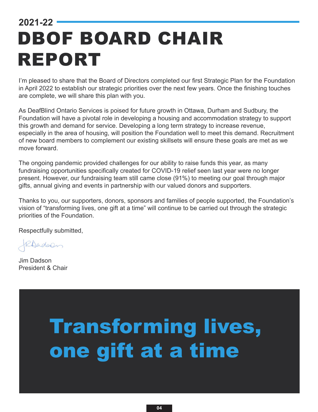## <span id="page-3-0"></span>**2021-22**  DBOF BOARD CHAIR REPORT

I'm pleased to share that the Board of Directors completed our first Strategic Plan for the Foundation in April 2022 to establish our strategic priorities over the next few years. Once the finishing touches are complete, we will share this plan with you.

As DeafBlind Ontario Services is poised for future growth in Ottawa, Durham and Sudbury, the Foundation will have a pivotal role in developing a housing and accommodation strategy to support this growth and demand for service. Developing a long term strategy to increase revenue, especially in the area of housing, will position the Foundation well to meet this demand. Recruitment of new board members to complement our existing skillsets will ensure these goals are met as we move forward.

The ongoing pandemic provided challenges for our ability to raise funds this year, as many fundraising opportunities specifically created for COVID-19 relief seen last year were no longer present. However, our fundraising team still came close (91%) to meeting our goal through major gifts, annual giving and events in partnership with our valued donors and supporters.

Thanks to you, our supporters, donors, sponsors and families of people supported, the Foundation's vision of "transforming lives, one gift at a time" will continue to be carried out through the strategic priorities of the Foundation.

Respectfully submitted,

RAndoen

Jim Dadson President & Chair

## Transforming lives, one gift at a time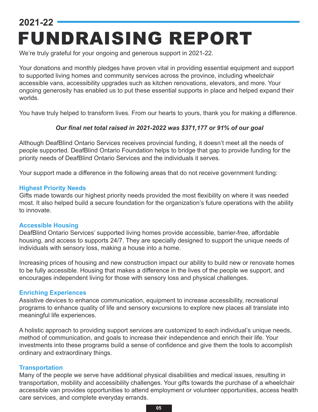## <span id="page-4-0"></span>**2021-22**  FUNDRAISING REPORT

We're truly grateful for your ongoing and generous support in 2021-22.

Your donations and monthly pledges have proven vital in providing essential equipment and support to supported living homes and community services across the province, including wheelchair accessible vans, accessibility upgrades such as kitchen renovations, elevators, and more. Your ongoing generosity has enabled us to put these essential supports in place and helped expand their worlds.

You have truly helped to transform lives. From our hearts to yours, thank you for making a difference.

#### *Our final net total raised in 2021-2022 was \$371,177 or 91% of our goal*

Although DeafBlind Ontario Services receives provincial funding, it doesn't meet all the needs of people supported. DeafBlind Ontario Foundation helps to bridge that gap to provide funding for the priority needs of DeafBlind Ontario Services and the individuals it serves.

Your support made a difference in the following areas that do not receive government funding:

#### **Highest Priority Needs**

Gifts made towards our highest priority needs provided the most flexibility on where it was needed most. It also helped build a secure foundation for the organization's future operations with the ability to innovate.

#### **Accessible Housing**

DeafBlind Ontario Services' supported living homes provide accessible, barrier-free, affordable housing, and access to supports 24/7. They are specially designed to support the unique needs of individuals with sensory loss, making a house into a home.

Increasing prices of housing and new construction impact our ability to build new or renovate homes to be fully accessible. Housing that makes a difference in the lives of the people we support, and encourages independent living for those with sensory loss and physical challenges.

#### **Enriching Experiences**

Assistive devices to enhance communication, equipment to increase accessibility, recreational programs to enhance quality of life and sensory excursions to explore new places all translate into meaningful life experiences.

A holistic approach to providing support services are customized to each individual's unique needs, method of communication, and goals to increase their independence and enrich their life. Your investments into these programs build a sense of confidence and give them the tools to accomplish ordinary and extraordinary things.

#### **Transportation**

Many of the people we serve have additional physical disabilities and medical issues, resulting in transportation, mobility and accessibility challenges. Your gifts towards the purchase of a wheelchair accessible van provides opportunities to attend employment or volunteer opportunities, access health care services, and complete everyday errands.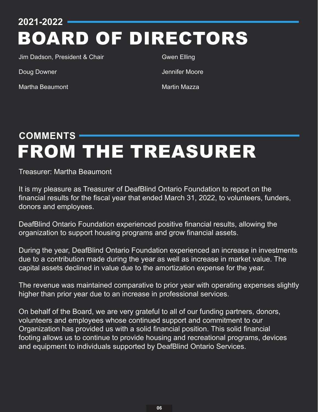**2021-2022** 

## BOARD OF DIRECTORS

Jim Dadson, President & Chair

Doug Downer

Martha Beaumont

Gwen Elling

Jennifer Moore

Martin Mazza

## <span id="page-5-0"></span>**COMMENTS**  FROM THE TREASURER

Treasurer: Martha Beaumont

It is my pleasure as Treasurer of DeafBlind Ontario Foundation to report on the financial results for the fiscal year that ended March 31, 2022, to volunteers, funders, donors and employees.

DeafBlind Ontario Foundation experienced positive financial results, allowing the organization to support housing programs and grow financial assets.

During the year, DeafBlind Ontario Foundation experienced an increase in investments due to a contribution made during the year as well as increase in market value. The capital assets declined in value due to the amortization expense for the year.

The revenue was maintained comparative to prior year with operating expenses slightly higher than prior year due to an increase in professional services.

On behalf of the Board, we are very grateful to all of our funding partners, donors, volunteers and employees whose continued support and commitment to our Organization has provided us with a solid financial position. This solid financial footing allows us to continue to provide housing and recreational programs, devices and equipment to individuals supported by DeafBlind Ontario Services.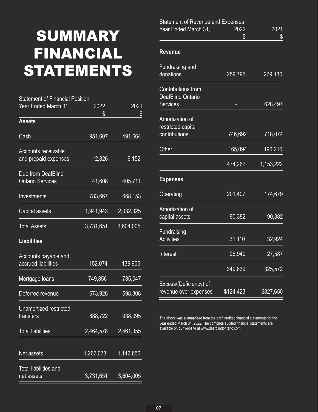## SUMMARY FINANCIAL STATEMENTS

| <b>Statement of Financial Position</b>             |           |           |
|----------------------------------------------------|-----------|-----------|
| Year Ended March 31,                               | 2022      | 2021      |
|                                                    | \$        | \$        |
| <b>Assets</b>                                      |           |           |
| Cash                                               | 951,607   | 491,664   |
| <b>Accounts receivable</b><br>and prepaid expenses | 12,826    | 6,152     |
| Due from DeafBlind                                 |           |           |
| <b>Ontario Services</b>                            | 41,608    | 405,711   |
| Investments                                        | 783,667   | 668,153   |
| Capital assets                                     | 1,941,943 | 2,032,325 |
| <b>Total Assets</b>                                | 3,731,651 | 3,604,005 |
| <b>Liabilities</b>                                 |           |           |
| Accounts payable and<br>accrued liabilities        | 152,074   | 139,905   |
| Mortgage Ioans                                     | 749,856   | 785,047   |
| Deferred revenue                                   | 673,926   | 598,308   |
| Unamortized restricted<br>transfers                | 888,722   | 938,095   |
|                                                    |           |           |
| <b>Total liabilities</b>                           | 2,464,578 | 2,461,355 |
| Net assets                                         | 1,267,073 | 1,142,650 |
| <b>Total liabilities and</b>                       |           |           |
| net assets                                         | 3,731,651 | 3,604,005 |

| <b>Statement of Revenue and Expenses</b>              |           |           |
|-------------------------------------------------------|-----------|-----------|
| Year Ended March 31,                                  | 2022      | 2021      |
|                                                       | \$        | \$        |
| <b>Revenue</b>                                        |           |           |
| Fundraising and                                       |           |           |
| donations                                             | 259,795   | 279,136   |
| <b>Contributions from</b><br><b>DeafBlind Ontario</b> |           |           |
| <b>Services</b>                                       |           | 628,497   |
| Amortization of<br>restricted capital                 |           |           |
| contributions                                         | 746,692   | 718,074   |
| Other                                                 | 165,094   | 196,216   |
|                                                       | 474,262   | 1,153,222 |
| <b>Expenses</b>                                       |           |           |
| Operating                                             | 201,407   | 174,679   |
| Amortization of                                       |           |           |
| capital assets                                        | 90,382    | 90,382    |
| Fundraising                                           |           |           |
| <b>Activities</b>                                     | 31,110    | 32,924    |
| Interest                                              | 26,940    | 27,587    |
|                                                       | 349,839   | 325,572   |
| Excess/(Deficiency) of                                |           |           |
| revenue over expenses                                 | \$124,423 | \$827,650 |

The above was summarized from the draft audited financial statements for the year ended March 31, 2022. The complete audited financial statements are available on our website at [www.deafblindontario.com](http://www.deafblindontario.com).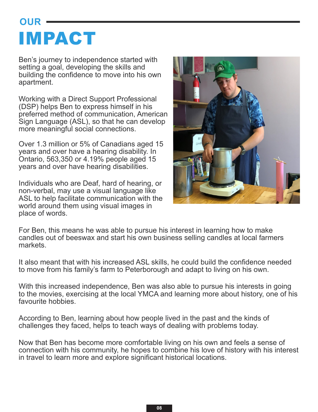## <span id="page-7-0"></span>**OUR**  IMPACT

Ben's journey to independence started with setting a goal, developing the skills and building the confidence to move into his own apartment.

Working with a Direct Support Professional (DSP) helps Ben to express himself in his preferred method of communication, American Sign Language (ASL), so that he can develop more meaningful social connections.

Over 1.3 million or 5% of Canadians aged 15 years and over have a hearing disability. In Ontario, 563,350 or 4.19% people aged 15 years and over have hearing disabilities.

Individuals who are Deaf, hard of hearing, or non-verbal, may use a visual language like ASL to help facilitate communication with the world around them using visual images in place of words.



For Ben, this means he was able to pursue his interest in learning how to make candles out of beeswax and start his own business selling candles at local farmers markets.

It also meant that with his increased ASL skills, he could build the confidence needed to move from his family's farm to Peterborough and adapt to living on his own.

With this increased independence, Ben was also able to pursue his interests in going to the movies, exercising at the local YMCA and learning more about history, one of his favourite hobbies.

According to Ben, learning about how people lived in the past and the kinds of challenges they faced, helps to teach ways of dealing with problems today.

Now that Ben has become more comfortable living on his own and feels a sense of connection with his community, he hopes to combine his love of history with his interest in travel to learn more and explore significant historical locations.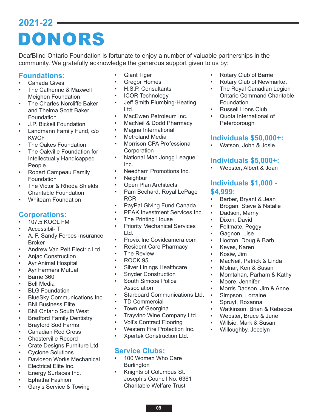## <span id="page-8-0"></span>**2021-22**  DONORS

DeafBlind Ontario Foundation is fortunate to enjoy a number of valuable partnerships in the community. We gratefully acknowledge the generous support given to us by:

#### **Foundations:**

- Canada Gives
- The Catherine & Maxwell Meighen Foundation
- The Charles Norcliffe Baker and Thelma Scott Baker Foundation
- J.P. Bickell Foundation
- Landmann Family Fund, c/o KWCF
- The Oakes Foundation
- The Oakville Foundation for Intellectually Handicapped People
- Robert Campeau Family Foundation
- The Victor & Rhoda Shields Charitable Foundation
- Whitearn Foundation

#### **Corporations:**

- 107.5 KOOL FM
- Accessibil-iT
- A. F. Sandy Forbes Insurance Broker
- Andrew Van Pelt Electric Ltd.
- Anjac Construction
- Ayr Animal Hospital
- Ayr Farmers Mutual
- Barrie 360
- **Bell Media**
- **BLG Foundation**
- BlueSky Communications Inc.
- **BNI Business Elite**
- BNI Ontario South West
- Bradford Family Dentistry
- Brayford Sod Farms
- Canadian Red Cross
- Chesterville Record
- Crate Designs Furniture Ltd.
- Cyclone Solutions
- Davidson Works Mechanical
- Electrical Elite Inc.
- Energy Surfaces Inc.
- Ephatha Fashion
- Gary's Service & Towing
- **Giant Tiger**
- **Gregor Homes**
- H.S.P. Consultants
- ICOR Technology
- Jeff Smith Plumbing-Heating Ltd.
- MacEwen Petroleum Inc.
- MacNeil & Dodd Pharmacy
- Magna International
- **Metroland Media**
- Morrison CPA Professional **Corporation**
- National Mah Jongg League Inc.
- Needham Promotions Inc.
- Neighbur
- Open Plan Architects
- Pam Bechard, Royal LePage RCR
- PayPal Giving Fund Canada
- PEAK Investment Services Inc.
- The Printing House
- **Priority Mechanical Services** Ltd.
- Provix Inc Covidcamera.com
- **Resident Care Pharmacy**
- **The Review**
- ROCK 95
- Silver Linings Healthcare
- **Snyder Construction**
- South Simcoe Police Association
- Starboard Communications Ltd.
- TD Commercial
- Town of Georgina
- Trayvino Wine Company Ltd.
- Voll's Contract Flooring
- Western Fire Protection Inc.
- Xpertek Construction Ltd.

#### **Service Clubs:**

- 100 Women Who Care **Burlington**
- Knights of Columbus St. Joseph's Council No. 6361 Charitable Welfare Trust

**09**

- Rotary Club of Barrie
- Rotary Club of Newmarket
- The Royal Canadian Legion Ontario Command Charitable Foundation
- Russell Lions Club
- Quota International of **Peterborough**

#### **Individuals \$50,000+:**

• Watson, John & Josie

#### **Individuals \$5,000+:**

• Webster, Albert & Joan

#### **Individuals \$1,000 - \$4,999:**

- Barber, Bryant & Jean
- Brogan, Steve & Natalie
- Dadson, Marny
- Dixon, David
- Feltmate, Peggy
- Gagnon, Lise
- Hooton, Doug & Barb
- Keyes, Karen
- Kosiw, Jim
- MacNeil, Patrick & Linda
- Molnar, Ken & Susan
- Momtahan, Parham & Kathy
- Moore, Jennifer
- Morris Dadson, Jim & Anne

• Watkinson, Brian & Rebecca • Webster, Bruce & June • Willsie, Mark & Susan • Willoughby, Jocelyn

- Simpson, Lorraine
- Spruyt, Roxanna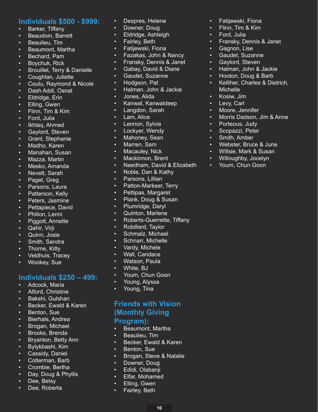#### **Individuals \$500 - \$999:**

- Barker, Tiffany
- Beaudoin, Barrett
- Beaulieu, Tim
- Beaumont, Martha
- Bechard, Pam
- Boychuk, Rick
- Brouillet, Terry & Danielle
- Coughlan, Juliette
- Coutu, Raymond & Nicole
- Dash Addi, Osnat
- Eldridge, Erin
- Elling, Gwen
- Flinn, Tim & Kim
- Ford, Julia
- Ikhlaq, Ahmed
- Gaylord, Steven
- Grant, Stephanie
- Madho, Karen
- Manahan, Susan
- Mazza, Martin
- Mesko, Amanda
- Nevett, Sarah
- Paget, Greg
- Parsons, Laura
- Patterson, Kelly
- Peters, Jasmine
- Pettapiece, David
- Philion, Lenni
- Piggott, Annette
- Qahir, Virji
- Quinn, Josie
- Smith, Sandra
- Thorne, Kitty
- Veldhuis, Tracey
- Wookey, Sue

#### **Individuals \$250 – 499:**

- Adcock, Maria
- Alford, Christine
- Bakshi, Gulshan
- Becker, Ewald & Karen
- Benton, Sue
- Bierhals, Andrea
- Brogan, Michael
- Brooks, Brenda
- Bryanton, Betty Ann
- Bylykbashi, Kim
- Cassidy, Daniel
- Colterman, Barb
- Crombie, Bertha • Day, Doug & Phyllis
- Dee, Betsy
- Dee, Roberta
- Despres, Helene
- Downer, Doug
- Eldridge, Ashleigh
- Fairley, Beth
- Fatijewski, Fiona
- Fazakas, John & Nancy
- Fransky, Dennis & Janet

• Fatijewski, Fiona • Flinn, Tim & Kim Ford, Julia

• Gagnon, Lise • Gaudet, Suzanne • Gaylord, Steven

**Michelle** • Kosiw, Jim • Levy, Carl • Moore, Jennifer

• Porteous, Judy Scopazzi, Peter • Smith, Amber

• Fransky, Dennis & Janet

• Halman, John & Jackie • Hooton, Doug & Barb • Kelliher, Charles & Dietrich,

• Morris Dadson, Jim & Anne

• Webster, Bruce & June • Willsie, Mark & Susan • Willoughby, Jocelyn • Youm, Chun Goon

- Gabay, David & Diane
- Gaudet, Suzanne
- Hodgson, Pat
- Halman, John & Jackie
- Jones, Alida
- Kanwal, Kanwaldeep
- Langdon, Sarah
- Lam, Alice
- Lennon, Sylvia
- Lockyer, Wendy
- Mahoney, Sean
- Marren, Sam
- Macauley, Nick
- Mackinnon, Brent
- Needham, David & Elizabeth
- Noble, Dan & Kathy
- Parsons, Lillian
- Patton-Markser, Terry
- Pettipas, Margaret
- Plank, Doug & Susan
- Plumridge, Daryl
- Quinton, Marlene
- Roberts-Guerrette, Tiffany
- Robillard, Taylor
- Schmalz, Michael
- Schnarr, Michelle
- Vardy, Michele
- Wall, Candace
- Watson, Paula
- White, BJ
- Youm, Chun Goon
- Young, Alyssa
- Young, Tina

#### **Friends with Vision (Monthly Giving**

- **Program):**
- Beaumont, Martha
- Beaulieu, Tim
- Becker, Ewald & Karen
- Benton, Sue
- Brogan, Steve & Natalie

**10**

• Downer, Doug • Edidi, Olabanji

• Elfar, Mohamed • Elling, Gwen • Fairley, Beth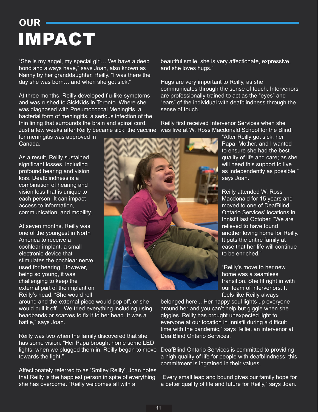## <span id="page-10-0"></span>**OUR**  IMPACT

"She is my angel, my special girl… We have a deep bond and always have," says Joan, also known as Nanny by her granddaughter, Reilly. "I was there the day she was born… and when she got sick."

At three months, Reilly developed flu-like symptoms and was rushed to SickKids in Toronto. Where she was diagnosed with Pneumococcal Meningitis, a bacterial form of meningitis, a serious infection of the thin lining that surrounds the brain and spinal cord. Just a few weeks after Reilly became sick, the vaccine

for meningitis was approved in Canada.

As a result, Reilly sustained significant losses, including profound hearing and vision loss. Deafblindness is a combination of hearing and vision loss that is unique to each person. It can impact access to information, communication, and mobility.

At seven months, Reilly was one of the youngest in North America to receive a cochlear implant, a small electronic device that stimulates the cochlear nerve, used for hearing. However, being so young, it was challenging to keep the external part of the implant on Reilly's head. "She would roll

around and the external piece would pop off, or she would pull it off… We tried everything including using headbands or scarves to fix it to her head. It was a battle," says Joan.

Reilly was two when the family discovered that she has some vision. "Her Papa brought home some LED lights; when we plugged them in, Reilly began to move towards the light."

Affectionately referred to as 'Smiley Reilly', Joan notes that Reilly is the happiest person in spite of everything she has overcome. "Reilly welcomes all with a

beautiful smile, she is very affectionate, expressive, and she loves hugs."

Hugs are very important to Reilly, as she communicates through the sense of touch. Intervenors are professionally trained to act as the "eyes" and "ears" of the individual with deafblindness through the sense of touch.

Reilly first received Intervenor Services when she was five at W. Ross Macdonald School for the Blind.

"After Reilly got sick, her Papa, Mother, and I wanted to ensure she had the best quality of life and care; as she will need this support to live as independently as possible," says Joan.

Reilly attended W. Ross Macdonald for 15 years and moved to one of DeafBlind Ontario Services' locations in Innisfil last October. "We are relieved to have found another loving home for Reilly. It puts the entire family at ease that her life will continue to be enriched."

"Reilly's move to her new home was a seamless transition. She fit right in with our team of intervenors. It feels like Reilly always

belonged here... Her happy soul lights up everyone around her and you can't help but giggle when she giggles. Reilly has brought unexpected light to everyone at our location in Innisfil during a difficult time with the pandemic," says Tellie, an intervenor at DeafBlind Ontario Services.

DeafBlind Ontario Services is committed to providing a high quality of life for people with deafblindness; this commitment is ingrained in their values.

"Every small leap and bound gives our family hope for a better quality of life and future for Reilly," says Joan.